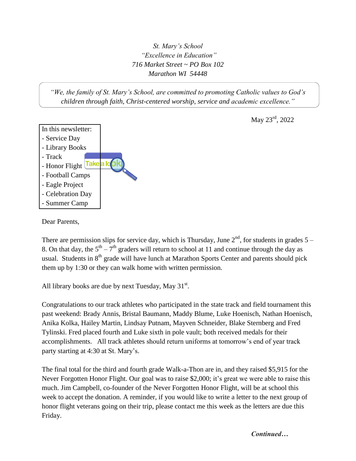*St. Mary's School "Excellence in Education" 716 Market Street ~ PO Box 102 Marathon WI 54448*

*"We, the family of St. Mary's School, are committed to promoting Catholic values to God's children through faith, Christ-centered worship, service and academic excellence."*



May 23<sup>rd</sup>, 2022

Dear Parents,

There are permission slips for service day, which is Thursday, June  $2<sup>nd</sup>$ , for students in grades 5 – 8. On that day, the  $5<sup>th</sup> - 7<sup>th</sup>$  graders will return to school at 11 and continue through the day as usual. Students in  $8<sup>th</sup>$  grade will have lunch at Marathon Sports Center and parents should pick them up by 1:30 or they can walk home with written permission.

All library books are due by next Tuesday, May  $31<sup>st</sup>$ .

Congratulations to our track athletes who participated in the state track and field tournament this past weekend: Brady Annis, Bristal Baumann, Maddy Blume, Luke Hoenisch, Nathan Hoenisch, Anika Kolka, Hailey Martin, Lindsay Putnam, Mayven Schneider, Blake Sternberg and Fred Tylinski. Fred placed fourth and Luke sixth in pole vault; both received medals for their accomplishments. All track athletes should return uniforms at tomorrow's end of year track party starting at 4:30 at St. Mary's.

The final total for the third and fourth grade Walk-a-Thon are in, and they raised \$5,915 for the Never Forgotten Honor Flight. Our goal was to raise \$2,000; it's great we were able to raise this much. Jim Campbell, co-founder of the Never Forgotten Honor Flight, will be at school this week to accept the donation. A reminder, if you would like to write a letter to the next group of honor flight veterans going on their trip, please contact me this week as the letters are due this Friday.